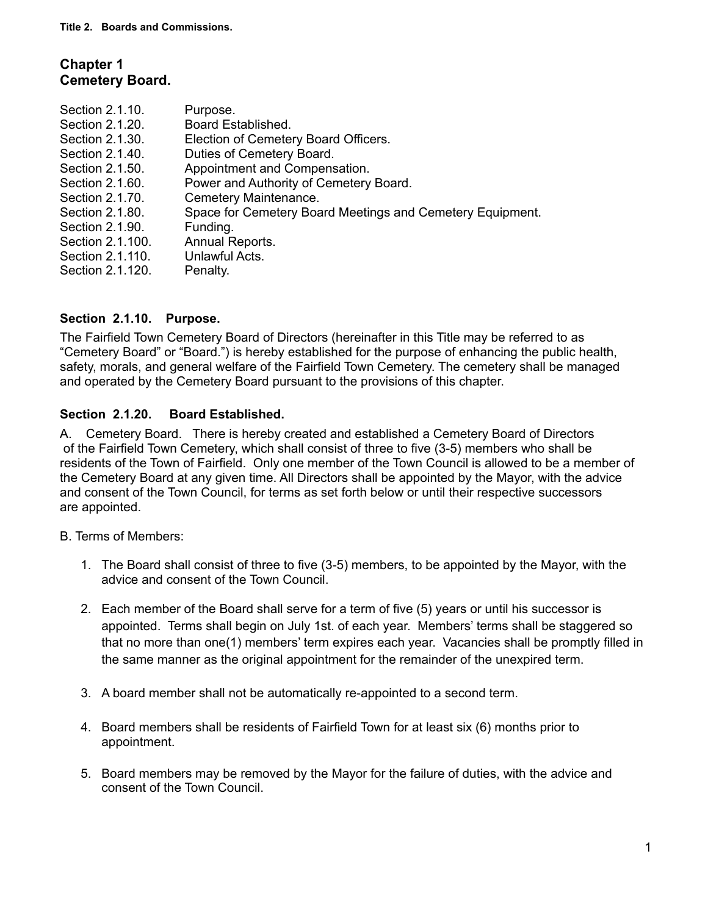# **Chapter 1 Cemetery Board.**

| Section 2.1.10.  | Purpose.                                                  |
|------------------|-----------------------------------------------------------|
| Section 2.1.20.  | Board Established.                                        |
| Section 2.1.30.  | Election of Cemetery Board Officers.                      |
| Section 2.1.40.  | Duties of Cemetery Board.                                 |
| Section 2.1.50.  | Appointment and Compensation.                             |
| Section 2.1.60.  | Power and Authority of Cemetery Board.                    |
| Section 2.1.70.  | Cemetery Maintenance.                                     |
| Section 2.1.80.  | Space for Cemetery Board Meetings and Cemetery Equipment. |
| Section 2.1.90.  | Funding.                                                  |
| Section 2.1.100. | Annual Reports.                                           |
| Section 2.1.110. | Unlawful Acts.                                            |
| Section 2.1.120. | Penalty.                                                  |
|                  |                                                           |

## **Section 2.1.10. Purpose.**

The Fairfield Town Cemetery Board of Directors (hereinafter in this Title may be referred to as "Cemetery Board" or "Board.") is hereby established for the purpose of enhancing the public health, safety, morals, and general welfare of the Fairfield Town Cemetery. The cemetery shall be managed and operated by the Cemetery Board pursuant to the provisions of this chapter.

### **Section 2.1.20. Board Established.**

A. Cemetery Board. There is hereby created and established a Cemetery Board of Directors of the Fairfield Town Cemetery, which shall consist of three to five (3-5) members who shall be residents of the Town of Fairfield. Only one member of the Town Council is allowed to be a member of the Cemetery Board at any given time. All Directors shall be appointed by the Mayor, with the advice and consent of the Town Council, for terms as set forth below or until their respective successors are appointed.

B. Terms of Members:

- 1. The Board shall consist of three to five (3-5) members, to be appointed by the Mayor, with the advice and consent of the Town Council.
- 2. Each member of the Board shall serve for a term of five (5) years or until his successor is appointed. Terms shall begin on July 1st. of each year. Members' terms shall be staggered so that no more than one(1) members' term expires each year. Vacancies shall be promptly filled in the same manner as the original appointment for the remainder of the unexpired term.
- 3. A board member shall not be automatically re-appointed to a second term.
- 4. Board members shall be residents of Fairfield Town for at least six (6) months prior to appointment.
- 5. Board members may be removed by the Mayor for the failure of duties, with the advice and consent of the Town Council.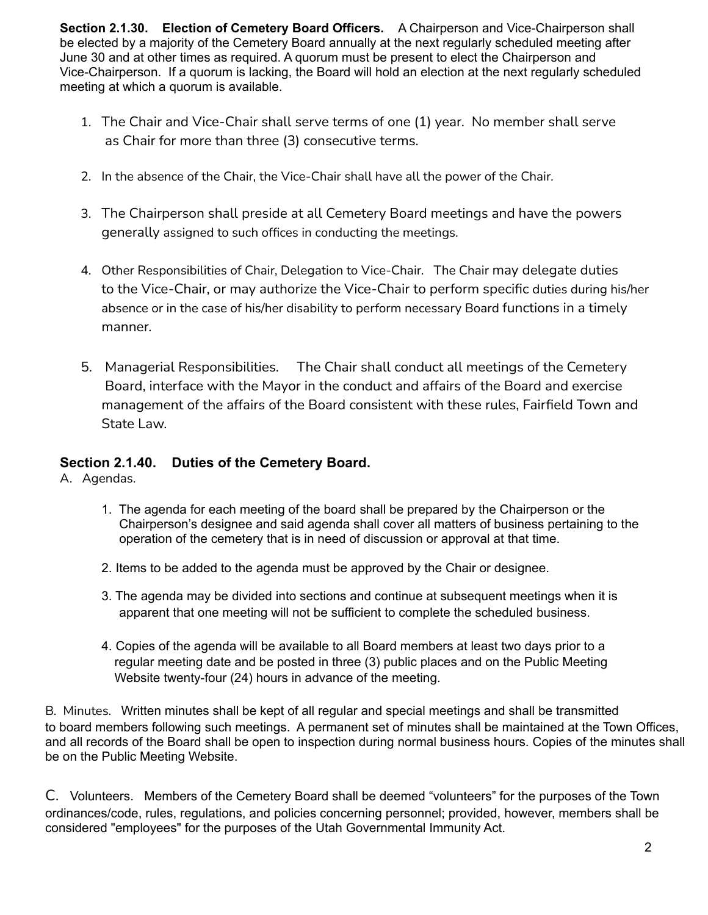**Section 2.1.30. Election of Cemetery Board Officers.** A Chairperson and Vice-Chairperson shall be elected by a majority of the Cemetery Board annually at the next regularly scheduled meeting after June 30 and at other times as required. A quorum must be present to elect the Chairperson and Vice-Chairperson. If a quorum is lacking, the Board will hold an election at the next regularly scheduled meeting at which a quorum is available.

- 1. The Chair and Vice-Chair shall serve terms of one (1) year. No member shall serve as Chair for more than three (3) consecutive terms.
- 2. In the absence of the Chair, the Vice-Chair shall have all the power of the Chair.
- 3. The Chairperson shall preside at all Cemetery Board meetings and have the powers generally assigned to such offices in conducting the meetings.
- 4. Other Responsibilities of Chair, Delegation to Vice-Chair. The Chair may delegate duties to the Vice-Chair, or may authorize the Vice-Chair to perform specific duties during his/her absence or in the case of his/her disability to perform necessary Board functions in a timely manner.
- 5. Managerial Responsibilities. The Chair shall conduct all meetings of the Cemetery Board, interface with the Mayor in the conduct and affairs of the Board and exercise management of the affairs of the Board consistent with these rules, Fairfield Town and State Law.

# **Section 2.1.40. Duties of the Cemetery Board.**

A. Agendas.

- 1. The agenda for each meeting of the board shall be prepared by the Chairperson or the Chairperson's designee and said agenda shall cover all matters of business pertaining to the operation of the cemetery that is in need of discussion or approval at that time.
- 2. Items to be added to the agenda must be approved by the Chair or designee.
- 3. The agenda may be divided into sections and continue at subsequent meetings when it is apparent that one meeting will not be sufficient to complete the scheduled business.
- 4. Copies of the agenda will be available to all Board members at least two days prior to a regular meeting date and be posted in three (3) public places and on the Public Meeting Website twenty-four (24) hours in advance of the meeting.

B. Minutes. Written minutes shall be kept of all regular and special meetings and shall be transmitted to board members following such meetings. A permanent set of minutes shall be maintained at the Town Offices, and all records of the Board shall be open to inspection during normal business hours. Copies of the minutes shall be on the Public Meeting Website.

C. Volunteers. Members of the Cemetery Board shall be deemed "volunteers" for the purposes of the Town ordinances/code, rules, regulations, and policies concerning personnel; provided, however, members shall be considered "employees" for the purposes of the Utah Governmental Immunity Act.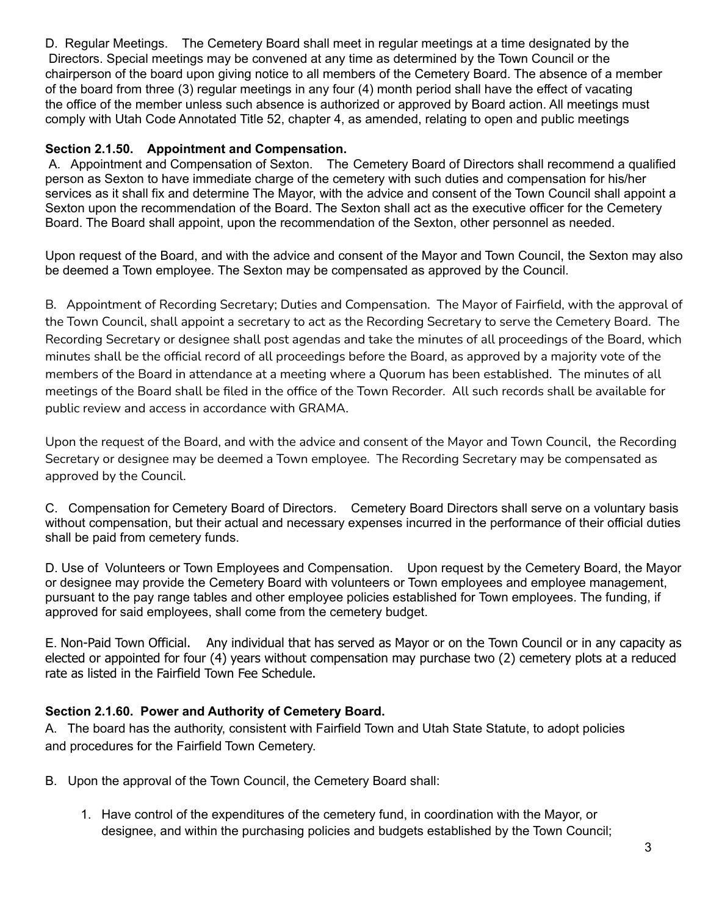D. Regular Meetings. The Cemetery Board shall meet in regular meetings at a time designated by the Directors. Special meetings may be convened at any time as determined by the Town Council or the chairperson of the board upon giving notice to all members of the Cemetery Board. The absence of a member of the board from three (3) regular meetings in any four (4) month period shall have the effect of vacating the office of the member unless such absence is authorized or approved by Board action. All meetings must comply with Utah Code Annotated Title 52, chapter 4, as amended, relating to open and public meetings

## **Section 2.1.50. Appointment and Compensation.**

A. Appointment and Compensation of Sexton. The Cemetery Board of Directors shall recommend a qualified person as Sexton to have immediate charge of the cemetery with such duties and compensation for his/her services as it shall fix and determine The Mayor, with the advice and consent of the Town Council shall appoint a Sexton upon the recommendation of the Board. The Sexton shall act as the executive officer for the Cemetery Board. The Board shall appoint, upon the recommendation of the Sexton, other personnel as needed.

Upon request of the Board, and with the advice and consent of the Mayor and Town Council, the Sexton may also be deemed a Town employee. The Sexton may be compensated as approved by the Council.

B. Appointment of Recording Secretary; Duties and Compensation. The Mayor of Fairfield, with the approval of the Town Council, shall appoint a secretary to act as the Recording Secretary to serve the Cemetery Board. The Recording Secretary or designee shall post agendas and take the minutes of all proceedings of the Board, which minutes shall be the official record of all proceedings before the Board, as approved by a majority vote of the members of the Board in attendance at a meeting where a Quorum has been established. The minutes of all meetings of the Board shall be filed in the office of the Town Recorder. All such records shall be available for public review and access in accordance with GRAMA.

Upon the request of the Board, and with the advice and consent of the Mayor and Town Council, the Recording Secretary or designee may be deemed a Town employee. The Recording Secretary may be compensated as approved by the Council.

C. Compensation for Cemetery Board of Directors. Cemetery Board Directors shall serve on a voluntary basis without compensation, but their actual and necessary expenses incurred in the performance of their official duties shall be paid from cemetery funds.

D. Use of Volunteers or Town Employees and Compensation. Upon request by the Cemetery Board, the Mayor or designee may provide the Cemetery Board with volunteers or Town employees and employee management, pursuant to the pay range tables and other employee policies established for Town employees. The funding, if approved for said employees, shall come from the cemetery budget.

E. Non-Paid Town Official. Any individual that has served as Mayor or on the Town Council or in any capacity as elected or appointed for four (4) years without compensation may purchase two (2) cemetery plots at a reduced rate as listed in the Fairfield Town Fee Schedule.

# **Section 2.1.60. Power and Authority of Cemetery Board.**

A. The board has the authority, consistent with Fairfield Town and Utah State Statute, to adopt policies and procedures for the Fairfield Town Cemetery.

- B. Upon the approval of the Town Council, the Cemetery Board shall:
	- 1. Have control of the expenditures of the cemetery fund, in coordination with the Mayor, or designee, and within the purchasing policies and budgets established by the Town Council;